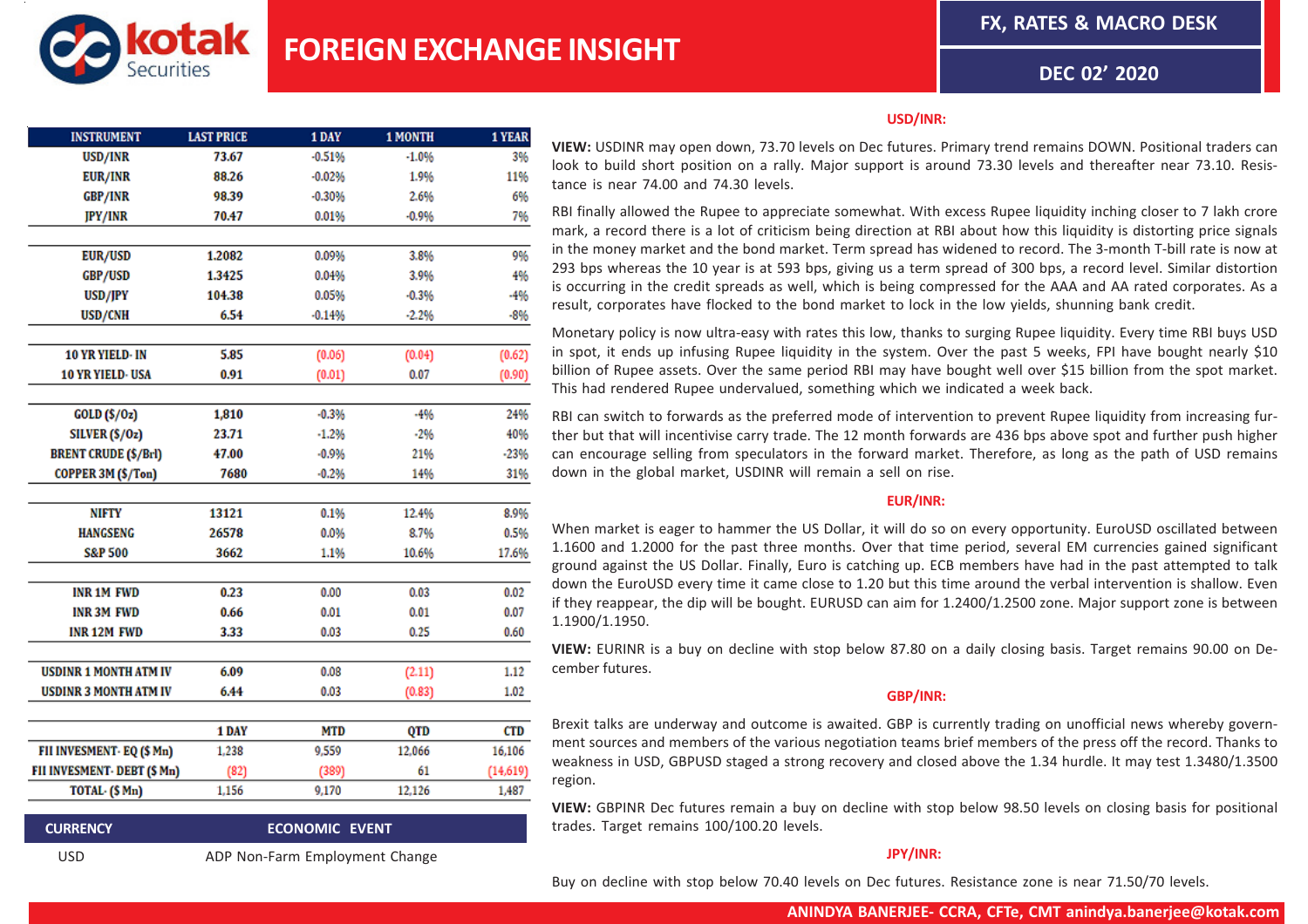**FX, RATES & MACRO DESK**



**DEC 02' 2020**

| <b>INSTRUMENT</b>            | <b>LAST PRICE</b> | 1 DAY                 | 1 MONTH | 1 YEAR     |
|------------------------------|-------------------|-----------------------|---------|------------|
| USD/INR                      | 73.67             | $-0.51%$              | $-1.0%$ | 3%         |
| <b>EUR/INR</b>               | 88.26             | $-0.02%$              | 1.9%    | 11%        |
| <b>GBP/INR</b>               | 98.39             | $-0.30%$              | 2.6%    | 6%         |
| <b>JPY/INR</b>               | 70.47             | 0.01%                 | $-0.9%$ | 7%         |
|                              |                   |                       |         |            |
| <b>EUR/USD</b>               | 1.2082            | 0.09%                 | 3.8%    | 9%         |
| <b>GBP/USD</b>               | 1.3425            | 0.04%                 | 3.9%    | 4%         |
| USD/JPY                      | 104.38            | 0.05%                 | $-0.3%$ | -4%        |
| USD/CNH                      | 6.54              | $-0.14%$              | $-2.2%$ | $-8%$      |
| 10 YR YIELD- IN              | 5.85              |                       |         |            |
| 10 YR YIELD- USA             | 0.91              | (0.06)                | (0.04)  | (0.62)     |
|                              |                   | (0.01)                | 0.07    | (0.90)     |
| GOLD(S/Oz)                   | 1,810             | $-0.3%$               | $-4%$   | 24%        |
| SILVER (S/Oz)                | 23.71             | $-1.2%$               | $-2%$   | 40%        |
| <b>BRENT CRUDE (\$/Brl)</b>  | 47.00             | $-0.9%$               | 21%     | $-23%$     |
| COPPER 3M (\$/Ton)           | 7680              | $-0.2%$               | 14%     | 31%        |
| NIFTY                        | 13121             |                       |         |            |
|                              |                   | 0.1%                  | 12.4%   | 8.9%       |
| <b>HANGSENG</b>              | 26578             | 0.0%                  | 8.7%    | 0.5%       |
| <b>S&amp;P 500</b>           | 3662              | 1.1%                  | 10.6%   | 17.6%      |
| <b>INR 1M FWD</b>            | 0.23              | 0.00                  | 0.03    | 0.02       |
| <b>INR 3M FWD</b>            | 0.66              | 0.01                  | 0.01    | 0.07       |
| <b>INR 12M FWD</b>           | 3.33              | 0.03                  | 0.25    | 0.60       |
| <b>USDINR 1 MONTH ATM IV</b> | 6.09              | 0.08                  | (2.11)  | 1.12       |
| <b>USDINR 3 MONTH ATM IV</b> | 6.44              | 0.03                  |         | 1.02       |
|                              |                   |                       | (0.83)  |            |
|                              | 1 DAY             | <b>MTD</b>            | QTD     | <b>CTD</b> |
| FII INVESMENT- EQ (\$ Mn)    | 1,238             | 9.559                 | 12,066  | 16,106     |
| FII INVESMENT- DEBT (\$ Mn)  | (82)              | (389)                 | 61      | (14,619)   |
| TOTAL- (\$ Mn)               | 1,156             | 9,170                 | 12,126  | 1,487      |
| <b>CURRENCY</b>              |                   | <b>ECONOMIC EVENT</b> |         |            |

### **USD/INR:**

**VIEW:** USDINR may open down, 73.70 levels on Dec futures. Primary trend remains DOWN. Positional traders can look to build short position on a rally. Major support is around 73.30 levels and thereafter near 73.10. Resistance is near 74.00 and 74.30 levels.

RBI finally allowed the Rupee to appreciate somewhat. With excess Rupee liquidity inching closer to 7 lakh crore mark, a record there is a lot of criticism being direction at RBI about how this liquidity is distorting price signals in the money market and the bond market. Term spread has widened to record. The 3-month T-bill rate is now at 293 bps whereas the 10 year is at 593 bps, giving us a term spread of 300 bps, a record level. Similar distortion is occurring in the credit spreads as well, which is being compressed for the AAA and AA rated corporates. As a result, corporates have flocked to the bond market to lock in the low yields, shunning bank credit.

Monetary policy is now ultra-easy with rates this low, thanks to surging Rupee liquidity. Every time RBI buys USD in spot, it ends up infusing Rupee liquidity in the system. Over the past 5 weeks, FPI have bought nearly \$10 billion of Rupee assets. Over the same period RBI may have bought well over \$15 billion from the spot market. This had rendered Rupee undervalued, something which we indicated a week back.

RBI can switch to forwards as the preferred mode of intervention to prevent Rupee liquidity from increasing further but that will incentivise carry trade. The 12 month forwards are 436 bps above spot and further push higher can encourage selling from speculators in the forward market. Therefore, as long as the path of USD remains down in the global market, USDINR will remain a sell on rise.

## **EUR/INR:**

When market is eager to hammer the US Dollar, it will do so on every opportunity. EuroUSD oscillated between 1.1600 and 1.2000 for the past three months. Over that time period, several EM currencies gained significant ground against the US Dollar. Finally, Euro is catching up. ECB members have had in the past attempted to talk down the EuroUSD every time it came close to 1.20 but this time around the verbal intervention is shallow. Even if they reappear, the dip will be bought. EURUSD can aim for 1.2400/1.2500 zone. Major support zone is between 1.1900/1.1950.

**VIEW:** EURINR is a buy on decline with stop below 87.80 on a daily closing basis. Target remains 90.00 on December futures.

## **GBP/INR:**

Brexit talks are underway and outcome is awaited. GBP is currently trading on unofficial news whereby government sources and members of the various negotiation teams brief members of the press off the record. Thanks to weakness in USD, GBPUSD staged a strong recovery and closed above the 1.34 hurdle. It may test 1.3480/1.3500 region.

**VIEW:** GBPINR Dec futures remain a buy on decline with stop below 98.50 levels on closing basis for positional trades. Target remains 100/100.20 levels.

# **JPY/INR:**

USD ADP Non-Farm Employment Change

Buy on decline with stop below 70.40 levels on Dec futures. Resistance zone is near 71.50/70 levels.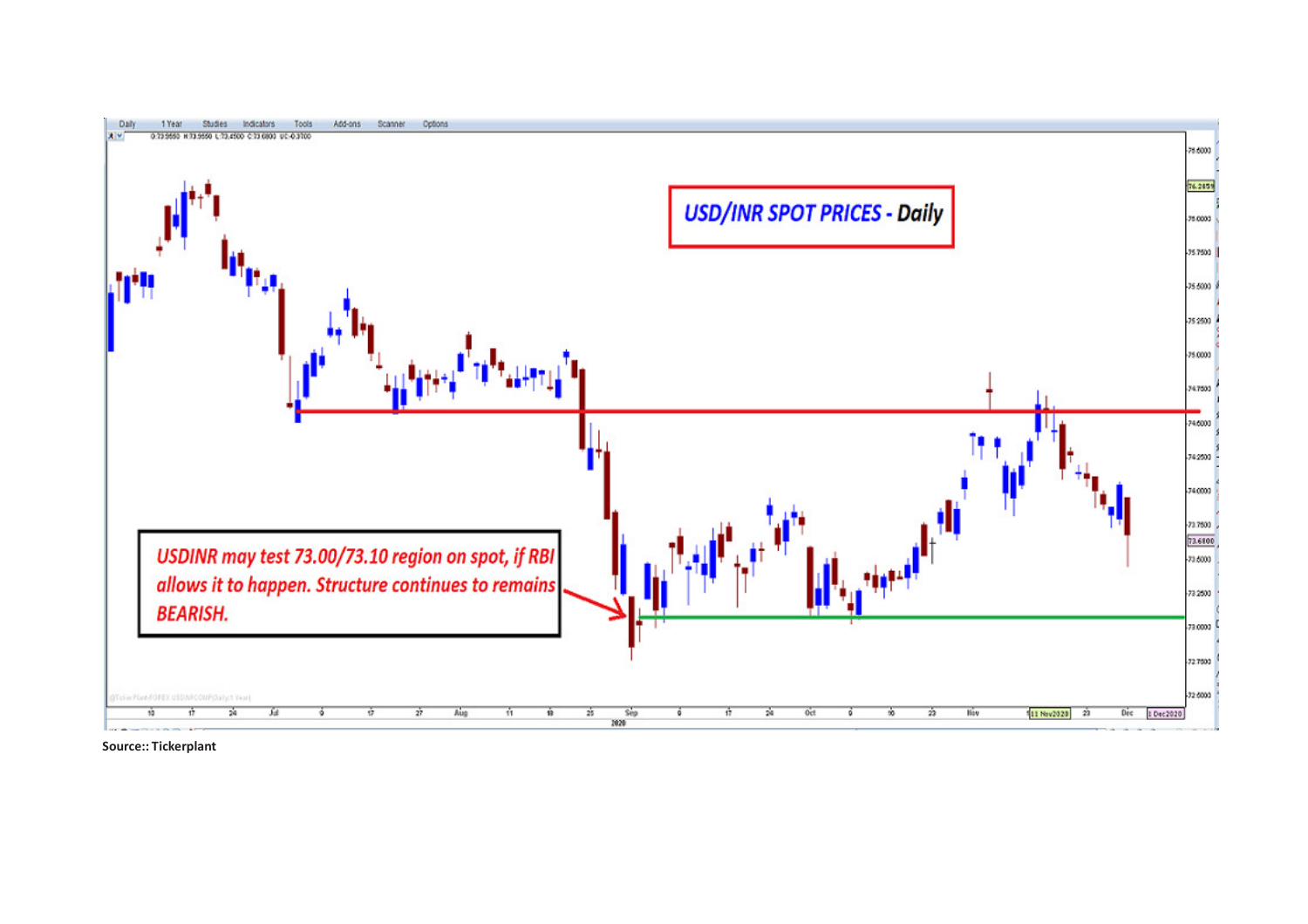